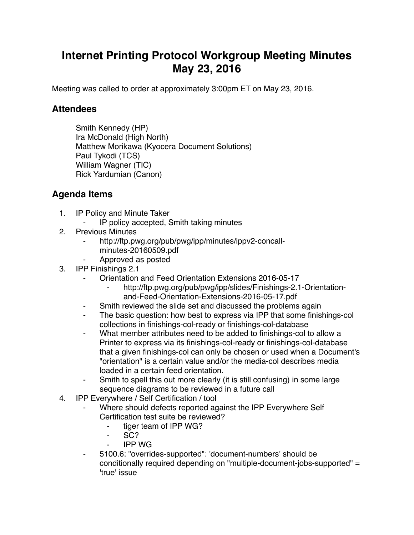## **Internet Printing Protocol Workgroup Meeting Minutes May 23, 2016**

Meeting was called to order at approximately 3:00pm ET on May 23, 2016.

## **Attendees**

Smith Kennedy (HP) Ira McDonald (High North) Matthew Morikawa (Kyocera Document Solutions) Paul Tykodi (TCS) William Wagner (TIC) Rick Yardumian (Canon)

## **Agenda Items**

- 1. IP Policy and Minute Taker
	- IP policy accepted, Smith taking minutes
- 2. Previous Minutes
	- http://ftp.pwg.org/pub/pwg/ipp/minutes/ippv2-concallminutes-20160509.pdf
	- ⁃ Approved as posted
- 3. IPP Finishings 2.1
	- ⁃ Orientation and Feed Orientation Extensions 2016-05-17
		- http://ftp.pwg.org/pub/pwg/ipp/slides/Finishings-2.1-Orientationand-Feed-Orientation-Extensions-2016-05-17.pdf
	- ⁃ Smith reviewed the slide set and discussed the problems again
	- ⁃ The basic question: how best to express via IPP that some finishings-col collections in finishings-col-ready or finishings-col-database
	- What member attributes need to be added to finishings-col to allow a Printer to express via its finishings-col-ready or finishings-col-database that a given finishings-col can only be chosen or used when a Document's "orientation" is a certain value and/or the media-col describes media loaded in a certain feed orientation.
	- Smith to spell this out more clearly (it is still confusing) in some large sequence diagrams to be reviewed in a future call
- 4. IPP Everywhere / Self Certification / tool
	- Where should defects reported against the IPP Everywhere Self Certification test suite be reviewed?
		- ⁃ tiger team of IPP WG?
		- SC?
		- ⁃ IPP WG
	- ⁃ 5100.6: "overrides-supported": 'document-numbers' should be conditionally required depending on "multiple-document-jobs-supported" = 'true' issue